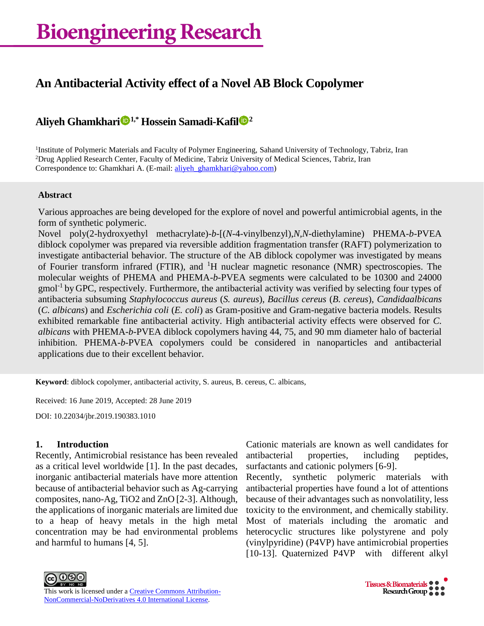# **An Antibacterial Activity effect of a Novel AB Block Copolymer**

## **Aliyeh Ghamkhari 1,\* Hossein Samadi-Kafil <sup>2</sup>**

<sup>1</sup>Institute of Polymeric Materials and Faculty of Polymer Engineering, Sahand University of Technology, Tabriz, Iran <sup>2</sup>Drug Applied Research Center, Faculty of Medicine, Tabriz University of Medical Sciences, Tabriz, Iran Correspondence to: Ghamkhari A. (E-mail: [aliyeh\\_ghamkhari@yahoo.com\)](mailto:aliyeh_ghamkhari@yahoo.com)

### **Abstract**

Various approaches are being developed for the explore of novel and powerful antimicrobial agents, in the form of synthetic polymeric.

Novel poly(2-hydroxyethyl methacrylate)-*b*-[(*N*-4-vinylbenzyl),*N,N*-diethylamine) PHEMA-*b*-PVEA diblock copolymer was prepared via reversible addition fragmentation transfer (RAFT) polymerization to investigate antibacterial behavior. The structure of the AB diblock copolymer was investigated by means of Fourier transform infrared (FTIR), and <sup>1</sup>H nuclear magnetic resonance (NMR) spectroscopies. The molecular weights of PHEMA and PHEMA-*b*-PVEA segments were calculated to be 10300 and 24000 gmol-1 by GPC, respectively. Furthermore, the antibacterial activity was verified by selecting four types of antibacteria subsuming *Staphylococcus aureus* (*S. aureus*), *Bacillus cereus* (*B. cereus*), *Candidaalbicans*  (*C. albicans*) and *Escherichia coli* (*E. coli*) as Gram-positive and Gram-negative bacteria models. Results exhibited remarkable fine antibacterial activity. High antibacterial activity effects were observed for *C. albicans* with PHEMA-*b*-PVEA diblock copolymers having 44, 75, and 90 mm diameter halo of bacterial inhibition. PHEMA-*b*-PVEA copolymers could be considered in nanoparticles and antibacterial applications due to their excellent behavior.

**Keyword**: diblock copolymer, antibacterial activity, S. aureus, B. cereus, C. albicans,

Received: 16 June 2019, Accepted: 28 June 2019

DOI: 10.22034/jbr.2019.190383.1010

## **1. Introduction**

Recently, Antimicrobial resistance has been revealed as a critical level worldwide [1]. In the past decades, inorganic antibacterial materials have more attention because of antibacterial behavior such as Ag-carrying composites, nano-Ag, TiO2 and ZnO [2-3]. Although, the applications of inorganic materials are limited due to a heap of heavy metals in the high metal concentration may be had environmental problems and harmful to humans [4, 5].

Cationic materials are known as well candidates for antibacterial properties, including peptides, surfactants and cationic polymers [6-9].

Recently, synthetic polymeric materials with antibacterial properties have found a lot of attentions because of their advantages such as nonvolatility, less toxicity to the environment, and chemically stability. Most of materials including the aromatic and heterocyclic structures like polystyrene and poly (vinylpyridine) (P4VP) have antimicrobial properties [10-13]. Quaternized P4VP with different alkyl



This work is licensed under a **Creative Commons Attribution-**[NonCommercial-NoDerivatives](http://creativecommons.org/licenses/by-nc-nd/4.0/) 4.0 International License.

Tissues & Biomaterials •  $Rescardi$  Group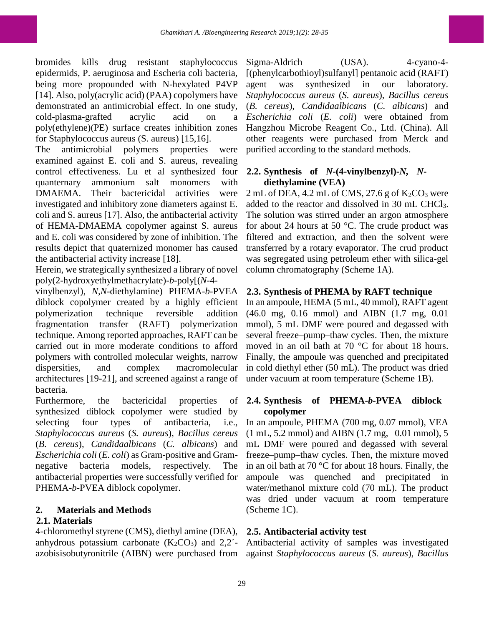bromides kills drug resistant staphylococcus epidermids, P. aeruginosa and Escheria coli bacteria, being more propounded with N-hexylated P4VP [14]. Also, poly(acrylic acid) (PAA) copolymers have demonstrated an antimicrobial effect. In one study, cold-plasma-grafted acrylic acid on a poly(ethylene)(PE) surface creates inhibition zones for Staphylococcus aureus (S. aureus) [15,16].

The antimicrobial polymers properties were examined against E. coli and S. aureus, revealing control effectiveness. Lu et al synthesized four quanternary ammonium salt monomers with DMAEMA. Their bactericidal activities were investigated and inhibitory zone diameters against E. coli and S. aureus [17]. Also, the antibacterial activity of HEMA-DMAEMA copolymer against S. aureus and E. coli was considered by zone of inhibition. The results depict that quaternized monomer has caused the antibacterial activity increase [18].

Herein, we strategically synthesized a library of novel poly(2-hydroxyethylmethacrylate)-*b*-poly[(*N*-4-

vinylbenzyl), *N,N*-diethylamine) PHEMA-*b*-PVEA diblock copolymer created by a highly efficient polymerization technique reversible addition fragmentation transfer (RAFT) polymerization technique. Among reported approaches, RAFT can be carried out in more moderate conditions to afford polymers with controlled molecular weights, narrow dispersities, and complex macromolecular architectures [19-21], and screened against a range of bacteria.

Furthermore, the bactericidal properties of synthesized diblock copolymer were studied by selecting four types of antibacteria, i.e., *Staphylococcus aureus* (*S. aureus*), *Bacillus cereus*  (*B. cereus*), *Candidaalbicans* (*C. albicans*) and *Escherichia coli* (*E. coli*) as Gram-positive and Gramnegative bacteria models, respectively. The antibacterial properties were successfully verified for PHEMA-*b*-PVEA diblock copolymer.

## **2. Materials and Methods**

## **2.1. Materials**

4-chloromethyl styrene (CMS), diethyl amine (DEA), anhydrous potassium carbonate  $(K_2CO_3)$  and  $2,2^2$ azobisisobutyronitrile (AIBN) were purchased from against *Staphylococcus aureus* (*S. aureus*), *Bacillus* 

Sigma-Aldrich (USA). 4-cyano-4-[(phenylcarbothioyl)sulfanyl] pentanoic acid (RAFT) agent was synthesized in our laboratory. *Staphylococcus aureus* (*S. aureus*), *Bacillus cereus*  (*B. cereus*), *Candidaalbicans* (*C. albicans*) and *Escherichia coli* (*E. coli*) were obtained from Hangzhou Microbe Reagent Co., Ltd. (China). All other reagents were purchased from Merck and purified according to the standard methods.

## **2.2. Synthesis of** *N***-(4-vinylbenzyl)-***N, N***diethylamine (VEA)**

 $2 \text{ mL of DEA}, 4.2 \text{ mL of CMS}, 27.6 \text{ g of K}_2\text{CO}_3$  were added to the reactor and dissolved in 30 mL CHCl3. The solution was stirred under an argon atmosphere for about 24 hours at 50 °C. The crude product was filtered and extraction, and then the solvent were transferred by a rotary evaporator. The crud product was segregated using petroleum ether with silica-gel column chromatography (Scheme 1A).

## **2.3. Synthesis of PHEMA by RAFT technique**

In an ampoule, HEMA (5 mL, 40 mmol), RAFT agent (46.0 mg, 0.16 mmol) and AIBN (1.7 mg, 0.01 mmol), 5 mL DMF were poured and degassed with several freeze–pump–thaw cycles. Then, the mixture moved in an oil bath at 70 °C for about 18 hours. Finally, the ampoule was quenched and precipitated in cold diethyl ether (50 mL). The product was dried under vacuum at room temperature (Scheme 1B).

## **2.4. Synthesis of PHEMA-***b***-PVEA diblock copolymer**

In an ampoule, PHEMA (700 mg, 0.07 mmol), VEA (1 mL, 5.2 mmol) and AIBN (1.7 mg, 0.01 mmol), 5 mL DMF were poured and degassed with several freeze–pump–thaw cycles. Then, the mixture moved in an oil bath at 70 °C for about 18 hours. Finally, the ampoule was quenched and precipitated in water/methanol mixture cold (70 mL). The product was dried under vacuum at room temperature (Scheme 1C).

## **2.5. Antibacterial activity test**

Antibacterial activity of samples was investigated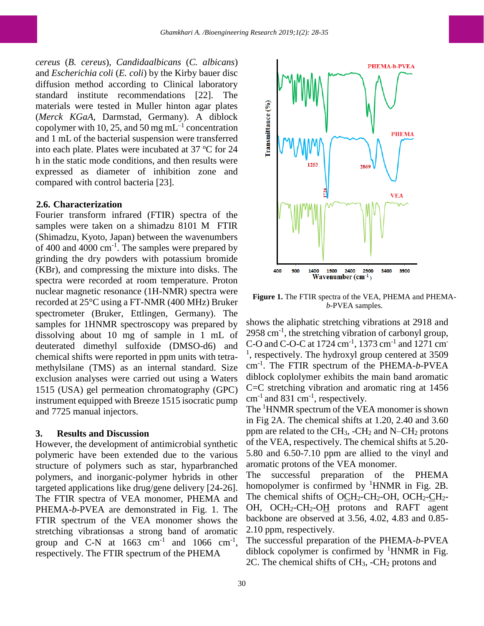*cereus* (*B. cereus*), *Candidaalbicans* (*C. albicans*) and *Escherichia coli* (*E. coli*) by the Kirby bauer disc diffusion method according to Clinical laboratory standard institute recommendations [22]. The materials were tested in Muller hinton agar plates (*Merck KGaA,* Darmstad, Germany). A diblock copolymer with 10, 25, and 50 mg mL<sup>-1</sup> concentration and 1 mL of the bacterial suspension were transferred into each plate. Plates were incubated at 37 ºC for 24 h in the static mode conditions, and then results were expressed as diameter of inhibition zone and compared with control bacteria [23].

#### **2.6. Characterization**

Fourier transform infrared (FTIR) spectra of the samples were taken on a shimadzu 8101 M FTIR (Shimadzu, Kyoto, Japan) between the wavenumbers of 400 and 4000  $\text{cm}^{-1}$ . The samples were prepared by grinding the dry powders with potassium bromide (KBr), and compressing the mixture into disks. The spectra were recorded at room temperature. Proton nuclear magnetic resonance (1H-NMR) spectra were recorded at 25°C using a FT-NMR (400 MHz) Bruker spectrometer (Bruker, Ettlingen, Germany). The samples for 1HNMR spectroscopy was prepared by dissolving about 10 mg of sample in 1 mL of deuterated dimethyl sulfoxide (DMSO-d6) and chemical shifts were reported in ppm units with tetramethylsilane (TMS) as an internal standard. Size exclusion analyses were carried out using a Waters 1515 (USA) gel permeation chromatography (GPC) instrument equipped with Breeze 1515 isocratic pump and 7725 manual injectors.

#### **3. Results and Discussion**

However, the development of antimicrobial synthetic polymeric have been extended due to the various structure of polymers such as star, hyparbranched polymers, and inorganic-polymer hybrids in other targeted applications like drug/gene delivery [24-26]. The FTIR spectra of VEA monomer, PHEMA and PHEMA-*b*-PVEA are demonstrated in Fig. 1. The FTIR spectrum of the VEA monomer shows the stretching vibrationsas a strong band of aromatic group and C-N at  $1663$  cm<sup>-1</sup> and  $1066$  cm<sup>-1</sup>, respectively. The FTIR spectrum of the PHEMA



**Figure 1.** The FTIR spectra of the VEA, PHEMA and PHEMA*b*-PVEA samples.

shows the aliphatic stretching vibrations at 2918 and 2958 cm<sup>-1</sup>, the stretching vibration of carbonyl group, C-O and C-O-C at 1724 cm<sup>-1</sup>, 1373 cm<sup>-1</sup> and 1271 cm<sup>-</sup> <sup>1</sup>, respectively. The hydroxyl group centered at 3509 cm-1 . The FTIR spectrum of the PHEMA-*b*-PVEA diblock coplolymer exhibits the main band aromatic C=C stretching vibration and aromatic ring at 1456  $cm^{-1}$  and 831  $cm^{-1}$ , respectively.

The <sup>1</sup>HNMR spectrum of the VEA monomer is shown in Fig 2A. The chemical shifts at 1.20, 2.40 and 3.60 ppm are related to the  $CH_3$ , -CH<sub>2</sub> and N–CH<sub>2</sub> protons of the VEA, respectively. The chemical shifts at 5.20- 5.80 and 6.50-7.10 ppm are allied to the vinyl and aromatic protons of the VEA monomer.

The successful preparation of the PHEMA homopolymer is confirmed by  ${}^{1}$ HNMR in Fig. 2B. The chemical shifts of O $CH_2$ -CH<sub>2</sub>-OH, OCH<sub>2</sub>-CH<sub>2</sub>-OH, OCH<sub>2</sub>-CH<sub>2</sub>-O<sub>H</sub> protons and RAFT agent backbone are observed at 3.56, 4.02, 4.83 and 0.85- 2.10 ppm, respectively.

The successful preparation of the PHEMA-*b*-PVEA diblock copolymer is confirmed by  ${}^{1}$ HNMR in Fig. 2C. The chemical shifts of CH3, -CH<sup>2</sup> protons and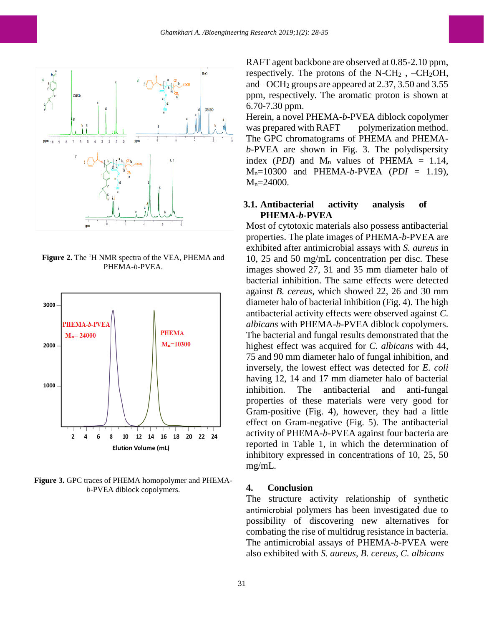

**Figure 2.** The <sup>1</sup>H NMR spectra of the VEA, PHEMA and PHEMA-*b*-PVEA.



**Figure 3.** GPC traces of PHEMA homopolymer and PHEMA*b*-PVEA diblock copolymers.

RAFT agent backbone are observed at 0.85-2.10 ppm, respectively. The protons of the  $N-CH_2$ ,  $-CH_2OH$ , and –OCH<sup>2</sup> groups are appeared at 2.37, 3.50 and 3.55 ppm, respectively. The aromatic proton is shown at 6.70-7.30 ppm.

Herein, a novel PHEMA-*b*-PVEA diblock copolymer was prepared with RAFT polymerization method. The GPC chromatograms of PHEMA and PHEMA*b*-PVEA are shown in Fig. 3. The polydispersity index (*PDI*) and  $M_n$  values of PHEMA = 1.14, Mn=10300 and PHEMA-*b*-PVEA (*PDI* = 1.19), M<sub>n</sub>=24000.

#### **3.1. Antibacterial activity analysis of PHEMA-***b***-PVEA**

Most of cytotoxic materials also possess antibacterial properties. The plate images of PHEMA-*b*-PVEA are exhibited after antimicrobial assays with *S. aureus* in 10, 25 and 50 mg/mL concentration per disc. These images showed 27, 31 and 35 mm diameter halo of bacterial inhibition. The same effects were detected against *B. cereus*, which showed 22, 26 and 30 mm diameter halo of bacterial inhibition (Fig. 4). The high antibacterial activity effects were observed against *C. albicans* with PHEMA-*b*-PVEA diblock copolymers. The bacterial and fungal results demonstrated that the highest effect was acquired for *C. albicans* with 44, 75 and 90 mm diameter halo of fungal inhibition, and inversely, the lowest effect was detected for *E. coli*  having 12, 14 and 17 mm diameter halo of bacterial inhibition. The antibacterial and anti-fungal properties of these materials were very good for Gram-positive (Fig. 4), however, they had a little effect on Gram-negative (Fig. 5). The antibacterial activity of PHEMA-*b*-PVEA against four bacteria are reported in Table 1, in which the determination of inhibitory expressed in concentrations of 10, 25, 50 mg/mL.

#### **4. Conclusion**

The structure activity relationship of synthetic antimicrobial polymers has been investigated due to possibility of discovering new alternatives for combating the rise of multidrug resistance in bacteria. The antimicrobial assays of PHEMA-*b*-PVEA were also exhibited with *S. aureus*, *B. cereus*, *C. albicans*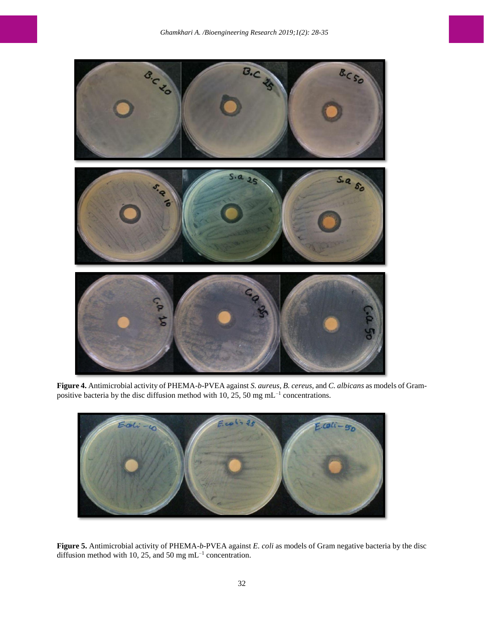

**Figure 4.** Antimicrobial activity of PHEMA-*b*-PVEA against *S. aureus*, *B. cereus*, and *C. albicans* as models of Grampositive bacteria by the disc diffusion method with 10, 25, 50 mg mL $^{-1}$  concentrations.



**Figure 5.** Antimicrobial activity of PHEMA-*b*-PVEA against *E. coli* as models of Gram negative bacteria by the disc diffusion method with 10, 25, and 50 mg  $mL^{-1}$  concentration.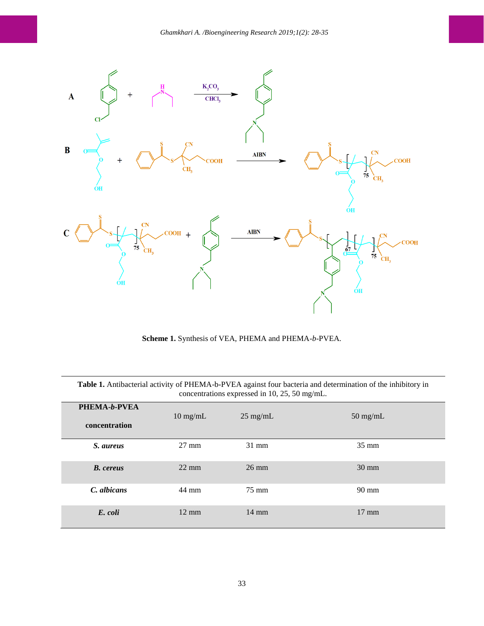

**Scheme 1.** Synthesis of VEA, PHEMA and PHEMA-*b*-PVEA.

| Table 1. Antibacterial activity of PHEMA-b-PVEA against four bacteria and determination of the inhibitory in<br>concentrations expressed in 10, 25, 50 mg/mL. |                    |                    |                    |
|---------------------------------------------------------------------------------------------------------------------------------------------------------------|--------------------|--------------------|--------------------|
| <b>PHEMA-b-PVEA</b><br>concentration                                                                                                                          | $10 \text{ mg/mL}$ | $25 \text{ mg/mL}$ | $50 \text{ mg/mL}$ |
| S. aureus                                                                                                                                                     | $27 \text{ mm}$    | $31 \text{ mm}$    | $35 \text{ mm}$    |
| <b>B.</b> cereus                                                                                                                                              | $22 \text{ mm}$    | $26 \text{ mm}$    | $30 \text{ mm}$    |
| C. albicans                                                                                                                                                   | 44 mm              | $75 \text{ mm}$    | $90 \text{ mm}$    |
| E. coli                                                                                                                                                       | $12 \text{ mm}$    | $14 \text{ mm}$    | $17 \text{ mm}$    |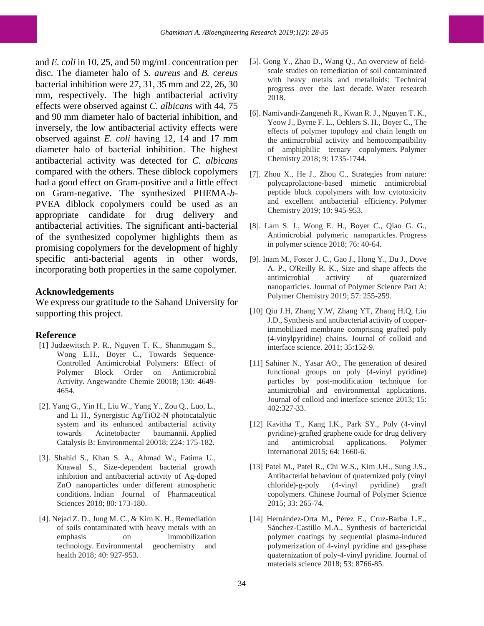and *E. coli* in 10, 25, and 50 mg/mL concentration per disc. The diameter halo of *S. aureus* and *B. cereus*  bacterial inhibition were 27, 31, 35 mm and 22, 26, 30 mm, respectively. The high antibacterial activity effects were observed against *C. albicans* with 44, 75 and 90 mm diameter halo of bacterial inhibition, and inversely, the low antibacterial activity effects were observed against *E. coli* having 12, 14 and 17 mm diameter halo of bacterial inhibition. The highest antibacterial activity was detected for *C. albicans*  compared with the others. These diblock copolymers had a good effect on Gram-positive and a little effect on Gram-negative. The synthesized PHEMA-*b*-PVEA diblock copolymers could be used as an appropriate candidate for drug delivery and antibacterial activities. The significant anti-bacterial of the synthesized copolymer highlights them as promising copolymers for the development of highly specific anti-bacterial agents in other words, incorporating both properties in the same copolymer.

#### **Acknowledgements**

We express our gratitude to the Sahand University for supporting this project.

#### **Reference**

- [1] Judzewitsch P. R., Nguyen T. K., Shanmugam S., Wong E.H., Boyer C., Towards Sequence-Controlled Antimicrobial Polymers: Effect of Polymer Block Order on Antimicrobial Activity. Angewandte Chemie 20018; 130: 4649- 4654.
- [2]. Yang G., Yin H., Liu W., Yang Y., Zou Q., Luo, L., and Li H., Synergistic Ag/TiO2-N photocatalytic system and its enhanced antibacterial activity towards Acinetobacter baumannii. Applied Catalysis B: Environmental 20018; 224: 175-182.
- [3]. Shahid S., Khan S. A., Ahmad W., Fatima U., Knawal S., Size-dependent bacterial growth inhibition and antibacterial activity of Ag-doped ZnO nanoparticles under different atmospheric conditions. Indian Journal of Pharmaceutical Sciences 2018; 80: 173-180.
- [4]. Nejad Z. D., Jung M. C., & Kim K. H., Remediation of soils contaminated with heavy metals with an emphasis on immobilization technology. Environmental geochemistry and health 2018; 40: 927-953.
- [5]. Gong Y., Zhao D., Wang Q., An overview of fieldscale studies on remediation of soil contaminated with heavy metals and metalloids: Technical progress over the last decade. Water research 2018.
- [6]. Namivandi-Zangeneh R., Kwan R. J., Nguyen T. K., Yeow J., Byrne F. L., Oehlers S. H., Boyer C., The effects of polymer topology and chain length on the antimicrobial activity and hemocompatibility of amphiphilic ternary copolymers. Polymer Chemistry 2018; 9: 1735-1744.
- [7]. Zhou X., He J., Zhou C., Strategies from nature: polycaprolactone-based mimetic antimicrobial peptide block copolymers with low cytotoxicity and excellent antibacterial efficiency. Polymer Chemistry 2019; 10: 945-953.
- [8]. Lam S. J., Wong E. H., Boyer C., Qiao G. G., Antimicrobial polymeric nanoparticles. Progress in polymer science 2018; 76: 40-64.
- [9]. Inam M., Foster J. C., Gao J., Hong Y., Du J., Dove A. P., O'Reilly R. K., Size and shape affects the antimicrobial activity of quaternized nanoparticles. Journal of Polymer Science Part A: Polymer Chemistry 2019; 57: 255-259.
- [10] Qiu J.H, Zhang Y.W, Zhang YT, Zhang H.Q, Liu J.D., Synthesis and antibacterial activity of copperimmobilized membrane comprising grafted poly (4-vinylpyridine) chains. Journal of colloid and interface science. 2011; 35:152-9.
- [11] Sahiner N., Yasar AO., The generation of desired functional groups on poly (4-vinyl pyridine) particles by post-modification technique for antimicrobial and environmental applications. Journal of colloid and interface science 2013; 15: 402:327-33.
- [12] Kavitha T., Kang I.K., Park SY., Poly (4‐vinyl pyridine)‐grafted graphene oxide for drug delivery and antimicrobial applications. Polymer International 2015; 64: 1660-6.
- [13] Patel M., Patel R., Chi W.S., Kim J.H., Sung J.S., Antibacterial behaviour of quaternized poly (vinyl chloride)-g-poly (4-vinyl pyridine) graft copolymers. Chinese Journal of Polymer Science 2015; 33: 265-74.
- [14] Hernández-Orta M., Pérez E., Cruz-Barba L.E., Sánchez-Castillo M.A., Synthesis of bactericidal polymer coatings by sequential plasma-induced polymerization of 4-vinyl pyridine and gas-phase quaternization of poly-4-vinyl pyridine. Journal of materials science 2018; 53: 8766-85.